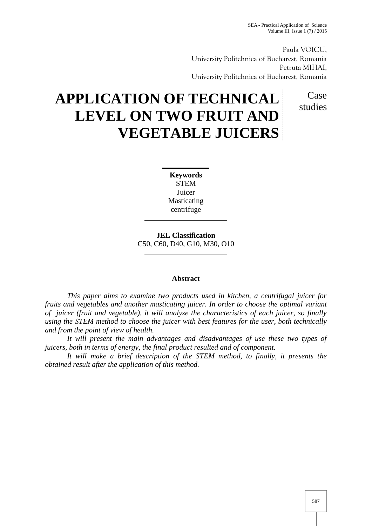Paula VOICU, University Politehnica of Bucharest, Romania Petruta MIHAI, University Politehnica of Bucharest, Romania

> Case studies

# **APPLICATION OF TECHNICAL LEVEL ON TWO FRUIT AND VEGETABLE JUICERS**

**Keywords STEM** Juicer Masticating centrifuge

**JEL Classification** C50, C60, D40, G10, M30, O10

# **Abstract**

*This paper aims to examine two products used in kitchen, a centrifugal juicer for fruits and vegetables and another masticating juicer. In order to choose the optimal variant of juicer (fruit and vegetable), it will analyze the characteristics of each juicer, so finally using the STEM method to choose the juicer with best features for the user, both technically and from the point of view of health.*

*It will present the main advantages and disadvantages of use these two types of juicers, both in terms of energy, the final product resulted and of component.*

*It will make a brief description of the STEM method, to finally, it presents the obtained result after the application of this method.*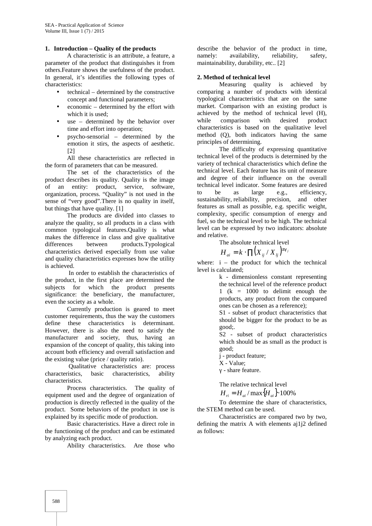### **1. Introduction – Quality of the products**

A characteristic is an attribute, a feature, a parameter of the product that distinguishes it from others.Feature shows the usefulness of the product. In general, it's identifies the following types of characteristics:

- $\bullet$  technical determined by the constructive concept and functional parameters;
- economic determined by the effort with which it is used;
- use determined by the behavior over time and effort into operation;
- psycho-sensorial determined by the emotion it stirs, the aspects of aesthetic. [2]

All these characteristics are reflected in the form of parameters that can be measured.

The set of the characteristics of the product describes its quality. Quality is the image of an entity: product, service, software, organization, process. "Quality" is not used in the sense of "very good".There is no quality in itself, but things that have quality. [1]

The products are divided into classes to analyze the quality, so all products in a class with common typological features.Quality is what makes the difference in class and give qualitative differences between products.Typological characteristics derived especially from use value and quality characteristics expresses how the utility is achieved.

In order to establish the characteristics of the product, in the first place are determined the subjects for which the product presents significance: the beneficiary, the manufacturer, even the society as a whole.

Currently production is geared to meet customer requirements, thus the way the customers define these characteristics is determinant. However, there is also the need to satisfy the manufacturer and society, thus, having an expansion of the concept of quality, this taking into account both efficiency and overall satisfaction and the existing value (price / quality ratio).

Qualitative characteristics are: process characteristics, basic characteristics, ability characteristics.

Process characteristics. The quality of equipment used and the degree of organization of production is directly reflected in the quality of the product. Some behaviors of the product in use is explained by its specific mode of production.

Basic characteristics. Have a direct role in the functioning of the product and can be estimated by analyzing each product.

Ability characteristics. Are those who

describe the behavior of the product in time, namely: availability, reliability, safety, maintainability, durability, etc.. [2]

## **2. Method of technical level**

Measuring quality is achieved by comparing a number of products with identical typological characteristics that are on the same market. Comparison with an existing product is achieved by the method of technical level (H),<br>while comparison with desired product while comparison with desired product characteristics is based on the qualitative level method (Q), both indicators having the same principles of determining.

The difficulty of expressing quantitative technical level of the products is determined by the variety of technical characteristics which define the technical level. Each feature has its unit of measure and degree of their influence on the overall technical level indicator. Some features are desired to be as large e.g., efficiency, sustainability, reliability, precision, and other features as small as possible, e.g. specific weight, complexity, specific consumption of energy and fuel, so the technical level to be high. The technical level can be expressed by two indicators: absolute and relative.

The absolute technical level

$$
H_{ai} = k \cdot \Pi \big( X_{ij} / X_{ij} \big)^{\pm x_{ij}}
$$

where:  $i -$  the product for which the technical level is calculated;

> k - dimensionless constant representing the technical level of the reference product 1 ( $k = 1000$  to delimit enough the products, any product from the compared ones can be chosen as a reference);

> S1 - subset of product characteristics that should be bigger for the product to be as good;.

> S2 - subset of product characteristics which should be as small as the product is good;

j - product feature;

X - Value;

- share feature.

The relative technical level

 $H_{ri} = H_{ai} / \max\{H_{ai}\} \cdot 100\%$ 

To determine the share of characteristics, the STEM method can be used.

Characteristics are compared two by two, defining the matrix A with elements aj1j2 defined as follows: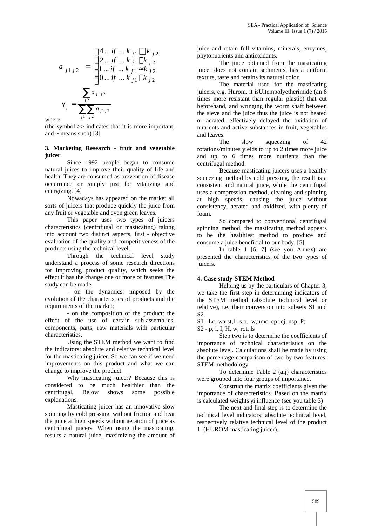$$
a_{j1 j2} = \begin{cases} 4 \dots if \dots k_{j1} \rangle \rangle k_{j2} & \text{junc a} \\ 2 \dots if \dots k_{j1} \rangle k_{j2} & \text{phyton} \\ 1 \dots if \dots k_{j1} \approx k_{j2} & \text{juicer} \\ 0 \dots if \dots k_{j1} \langle k_{j2} \rangle & \text{text} \\ 0 \dots if \dots k_{j1} \langle k_{j2} \rangle & \text{times} \\ 0 & \text{times} \end{cases}
$$

where

(the symbol >> indicates that it is more important, and  $\sim$  means such) [3]

## **3. Marketing Research - fruit and vegetable juicer**

Since 1992 people began to consume natural juices to improve their quality of life and health. They are consumed as prevention of disease occurrence or simply just for vitalizing and energizing. [4]

Nowadays has appeared on the market all sorts of juicers that produce quickly the juice from any fruit or vegetable and even green leaves.

This paper uses two types of juicers characteristics (centrifugal or masticating) taking into account two distinct aspects, first - objective evaluation of the quality and competitiveness of the products using the technical level.

Through the technical level study understand a process of some research directions for improving product quality, which seeks the effect it has the change one or more of features.The study can be made:

- on the dynamics: imposed by the evolution of the characteristics of products and the requirements of the market;

- on the composition of the product: the effect of the use of certain sub-assemblies, components, parts, raw materials with particular characteristics.

Using the STEM method we want to find the indicators: absolute and relative technical level for the masticating juicer. So we can see if we need improvements on this product and what we can change to improve the product.

Why masticating juicer? Because this is considered to be much healthier than the centrifugal. Below shows some possible explanations.

Masticating juicer has an innovative slow spinning by cold pressing, without friction and heat the juice at high speeds without aeration of juice as centrifugal juicers. When using the masticating, results a natural juice, maximizing the amount of

juice and retain full vitamins, minerals, enzymes,  $\frac{1}{2}$   $\frac{1}{2}$  phytonutrients and antioxidants.

> The juice obtained from the masticating juicer does not contain sediments, has a uniform texture, taste and retains its natural color.

 $\sum_{i} \sum_{i} a_{i} a_{j}$  beforehand, and wringing the worm shaft between<br>the sieve and the juice thus the juice is not heated  $\sum a_{j1j2}$  juicers, e.g. Hurom, it is Ultempolyetherimide (an 8 The material used for the masticating times more resistant than regular plastic) that cut beforehand, and wringing the worm shaft between or aerated, effectively delayed the oxidation of nutrients and active substances in fruit, vegetables and leaves.

> The slow squeezing of 42 rotations/minutes yields to up to 2 times more juice and up to 6 times more nutrients than the centrifugal method.

> Because masticating juicers uses a healthy squeezing method by cold pressing, the result is a consistent and natural juice, while the centrifugal uses a compression method, cleaning and spinning at high speeds, causing the juice without consistency, aerated and oxidized, with plenty of foam.

> So compared to conventional centrifugal spinning method, the masticating method appears to be the healthiest method to produce and consume a juice beneficial to our body. [5]

> In table 1 [6, 7] (see you Annex) are presented the characteristics of the two types of juicers.

#### **4. Case study-STEM Method**

Helping us by the particulars of Chapter 3, we take the first step in determining indicators of the STEM method (absolute technical level or relative), i.e. their conversion into subsets S1 and S2.

 $S1$  –Lc, warst, ,s.o., w,umc, cpf,cj, nsp, P;

S2 - p, l, I, H, w, rot, ls

Step two is to determine the coefficients of importance of technical characteristics on the absolute level. Calculations shall be made by using the percentage-comparison of two by two features: STEM methodology.

To determine Table 2 (aij) characteristics were grouped into four groups of importance.

Construct the matrix coefficients given the importance of characteristics. Based on the matrix is calculated weights *i* influence (see you table 3)

The next and final step is to determine the technical level indicators: absolute technical level, respectively relative technical level of the product 1. (HUROM masticating juicer).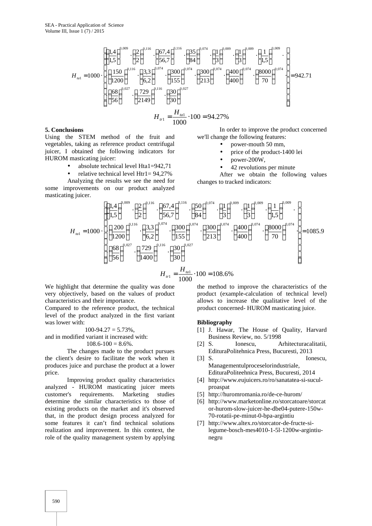$$
H_{\text{val}} = 1000 \cdot \left[ \left( \frac{1.4}{1.5} \right)^{0.009} \cdot \left( \frac{2}{2} \right)^{0.116} \cdot \left( \frac{67.4}{56.7} \right)^{0.116} \cdot \left( \frac{35}{84} \right)^{0.074} \cdot \left( \frac{1}{3} \right)^{0.009} \cdot \left( \frac{1}{3} \right)^{0.009} \cdot \left( \frac{1}{1.5} \right)^{0.009} \cdot \left( \frac{1}{1.5} \right)^{0.009} \cdot \left( \frac{1}{1.5} \right)^{0.009} \cdot \left( \frac{1}{1.5} \right)^{0.009} \cdot \left( \frac{1}{1.5} \right)^{0.009} \cdot \left( \frac{1}{1.5} \right)^{0.009} \cdot \left( \frac{1}{1.5} \right)^{0.009} \cdot \left( \frac{1}{1.5} \right)^{0.009} \cdot \left( \frac{1}{1.5} \right)^{0.009} \cdot \left( \frac{1}{1.5} \right)^{0.009} \cdot \left( \frac{1}{1.5} \right)^{0.009} \cdot \left( \frac{1}{1.5} \right)^{0.009} \cdot \left( \frac{1}{1.5} \right)^{0.009} \cdot \left( \frac{1}{1.5} \right)^{0.009} \cdot \left( \frac{1}{1.5} \right)^{0.009} \cdot \left( \frac{1}{1.5} \right)^{0.009} \cdot \left( \frac{1}{1.5} \right)^{0.009} \cdot \left( \frac{1}{1.5} \right)^{0.009} \cdot \left( \frac{1}{1.5} \right)^{0.009} \cdot \left( \frac{1}{1.5} \right)^{0.009} \cdot \left( \frac{1}{1.5} \right)^{0.009} \cdot \left( \frac{1}{1.5} \right)^{0.009} \cdot \left( \frac{1}{1.5} \right)^{0.009} \cdot \left( \frac{1}{1.5} \right)^{0.009} \cdot \left( \frac{1}{1.5} \right)^{0.009
$$

$$
H_{\nu 1} = \frac{H_{\nu 1}}{1000} \cdot 100 = 94.27\%
$$

#### **5. Conclusions**

Using the STEM method of the fruit and vegetables, taking as reference product centrifugal juicer, I obtained the following indicators for HUROM masticating juicer:

- absolute technical level Hta1=942,71
- relative technical level Htr1= 94,27%

Analyzing the results we see the need for some improvements on our product analyzed masticating juicer.

In order to improve the product concerned we'll change the following features:

- power-mouth 50 mm,
- price of the product-1400 lei
- power-200W,
- 42 revolutions per minute

After we obtain the following values changes to tracked indicators:

$$
H_{1a1} = 1000 \cdot \left[ \left( \frac{1.4}{1.5} \right)^{0.009} \cdot \left( \frac{2}{2} \right)^{0.116} \cdot \left( \frac{67.4}{56.7} \right)^{0.116} \cdot \left( \frac{50}{84} \right)^{0.074} \cdot \left( \frac{1}{3} \right)^{0.009} \cdot \left( \frac{1}{3} \right)^{0.009} \cdot \left( \frac{1}{1.5} \right)^{0.009} \cdot \left( \frac{1}{1.5} \right)^{0.009} \cdot \left( \frac{1}{1.5} \right)^{0.009} \cdot \left( \frac{200}{1200} \right)^{0.116} \cdot \left( \frac{3.3}{6.2} \right)^{0.074} \cdot \left( \frac{300}{155} \right)^{0.074} \cdot \left( \frac{300}{213} \right)^{0.074} \cdot \left( \frac{400}{400} \right)^{0.074} \cdot \left( \frac{8000}{70} \right)^{0.074} \cdot \left( \frac{8000}{56} \right)^{0.074} \cdot \left( \frac{68}{56} \right)^{0.027} \cdot \left( \frac{729}{1400} \right)^{0.116} \cdot \left( \frac{30}{30} \right)^{0.027} \cdot \left( \frac{30}{1400} \right)^{0.027} \cdot \left( \frac{1}{1400} \right)^{0.009} \cdot \left( \frac{1}{1400} \right)^{0.009} \cdot \left( \frac{1}{1400} \right)^{0.074} \cdot \left( \frac{1}{1400} \right)^{0.074} \cdot \left( \frac{1}{1400} \right)^{0.074} \cdot \left( \frac{1}{1400} \right)^{0.074} \cdot \left( \frac{1}{1400} \right)^{0.074} \cdot \left( \frac{1}{1400} \right)^{0.074} \cdot \left( \frac{1}{1400} \right)^{0.074} \cdot \left( \frac{1}{1400} \right)^{
$$

$$
H_{1r1} = \frac{H_{1r1}}{1000} \cdot 100 = 108.6\%
$$

We highlight that determine the quality was done very objectively, based on the values of product characteristics and their importance.

Compared to the reference product, the technical level of the product analyzed in the first variant was lower with:

$$
100-94.27=5.73\%,
$$

and in modified variant it increased with:  $108.6 - 100 = 8.6\%$ .

The changes made to the product pursues the client's desire to facilitate the work when it produces juice and purchase the product at a lower price.

Improving product quality characteristics analyzed - HUROM masticating juicer meets customer's requirements. Marketing studies determine the similar characteristics to those of existing products on the market and it's observed that, in the product design process analyzed for some features it can't find technical solutions realization and improvement. In this context, the role of the quality management system by applying

the method to improve the characteristics of the product (example-calculation of technical level) allows to increase the qualitative level of the product concerned- HUROM masticating juice.

#### **Bibliography**

- [1] J. Hawar, The House of Quality, Harvard Business Review, no. 5/1998
- [2] S. Ionescu, Arhitecturacalitatii, EdituraPolitehnica Press, Bucuresti, 2013
- [3] S. Ionescu, Managementulproceselorindustriale, EdituraPoliteehnica Press, Bucuresti, 2014
- [4] http://www.eujuicers.ro/ro/sanatatea-si-sucul proaspat
- [5] http://huromromania.ro/de-ce-hurom/
- [6] http://www.marketonline.ro/storcatoare/storcat or-hurom-slow-juicer-he-dbe04-putere-150w- 70-rotatii-pe-minut-0-bpa-argintiu
- [7] http://www.altex.ro/storcator-de-fructe-silegume-bosch-mes4010-1-5l-1200w-argintiu negru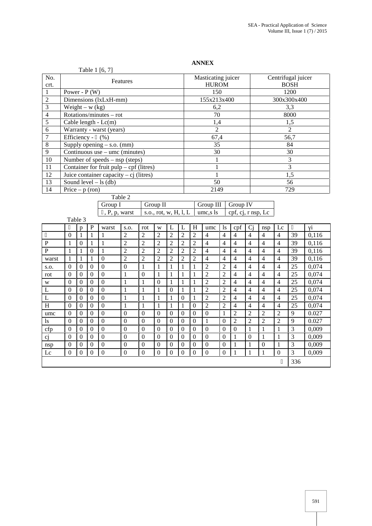| Centrifugal juicer<br>Masticating juicer<br>No.<br>Features<br><b>BOSH</b><br><b>HUROM</b><br>crt.<br>150<br>1200<br>$\mathbf{1}$<br>Power - $P(W)$<br>$\overline{c}$<br>Dimensions (lxLxH-mm)<br>155x213x400<br>300x300x400<br>$\mathfrak{Z}$<br>Weight – $w (kg)$<br>3,3<br>6,2<br>$\overline{4}$<br>Rotations/minutes - rot<br>70<br>8000<br>5<br>Cable length - $Lc(m)$<br>1,4<br>1,5<br>6<br>$\overline{2}$<br>$\overline{2}$<br>Warranty - warst (years)<br>7<br>Efficiency - $(\%)$<br>56,7<br>67,4<br>8<br>35<br>84<br>Supply opening $-$ s.o. (mm)<br>9<br>30<br>30<br>Continuous use $-$ umc (minutes)<br>$\overline{3}$<br>10<br>Number of speeds $-$ nsp (steps)<br>1<br>$\overline{3}$<br>Container for fruit $pulp - cpf$ (litres)<br>11<br>$\mathbf{1}$<br>Juice container capacity – cj (litres)<br>$\overline{1,5}$<br>12<br>$\mathbf{1}$<br>$\overline{13}$<br>$\overline{50}$<br>Sound level $-$ ls (db)<br>56<br>14<br>2149<br>729<br>Price $-p$ (ron)<br>Table 2<br>Group I<br>Group II<br>Group III<br>Group IV<br>s.o., rot, w, H, l, L<br>cpf, cj, r nsp, Lc<br>, P, p, warst<br>umc,s ls<br>Table 3<br>cpf<br>$\mathbf P$<br>L<br>H<br>Ci<br>Lc<br>$\mathbf{i}$<br>warst<br>L<br>umc<br><sup>1s</sup><br>S.O.<br>rot<br>W<br>nsp<br>$\mathbf{p}$<br>$\overline{2}$<br>$\overline{2}$<br>$\overline{2}$<br>$\overline{2}$<br>$\overline{2}$<br>$\overline{4}$<br>$\overline{4}$<br>$\mathbf{1}$<br>$\overline{2}$<br>$\overline{4}$<br>$\overline{4}$<br>$\overline{4}$<br>$\overline{4}$<br>0,116<br>$\overline{0}$<br>$\mathbf{1}$<br>$\mathbf{1}$<br>39<br>$\overline{2}$<br>$\overline{2}$<br>$\overline{c}$<br>$\overline{4}$<br>$\overline{4}$<br>$\overline{4}$<br>$\overline{4}$<br>$\overline{4}$<br>$\overline{4}$<br>${\bf P}$<br>$\mathbf{1}$<br>$\mathbf{0}$<br>$\mathbf{1}$<br>$\mathbf{1}$<br>$\overline{2}$<br>2<br>$\overline{2}$<br>39<br>0,116<br>$\overline{P}$<br>$\overline{2}$<br>$\overline{2}$<br>$\mathbf{1}$<br>$\mathbf{1}$<br>$\mathbf{1}$<br>$\overline{2}$<br>$\overline{2}$<br>$\overline{2}$<br>$\overline{c}$<br>$\overline{4}$<br>$\overline{4}$<br>$\overline{4}$<br>$\overline{4}$<br>$\overline{4}$<br>$\overline{4}$<br>39<br>0,116<br>$\mathbf{0}$<br>$\overline{0}$<br>$\overline{2}$<br>$\overline{2}$<br>$\overline{2}$<br>$\overline{2}$<br>$\overline{2}$<br>$\overline{4}$<br>$\mathbf{1}$<br>$\mathbf{1}$<br>$\overline{2}$<br>$\overline{4}$<br>$\overline{4}$<br>$\overline{4}$<br>$\overline{4}$<br>$\overline{4}$<br>39<br>0,116<br>$\mathbf{1}$<br>warst<br>$\mathbf{0}$<br>$\overline{2}$<br>$\overline{2}$<br>0,074<br>$\mathbf{0}$<br>$\overline{0}$<br>$\mathbf{1}$<br>$\mathbf{1}$<br>$\overline{4}$<br>4<br>$\overline{4}$<br>25<br>$\boldsymbol{0}$<br>$\boldsymbol{0}$<br>1<br>$\mathbf{1}$<br>1<br>$\overline{4}$<br>S.O.<br>$\overline{0}$<br>$\overline{2}$<br>$\overline{2}$<br>$\mathbf{1}$<br>$\overline{0}$<br>$\mathbf{1}$<br>$\mathbf{1}$<br>$\overline{4}$<br>$\overline{4}$<br>$\overline{4}$<br>$\overline{4}$<br>25<br>0,074<br>$\boldsymbol{0}$<br>$\mathbf{0}$<br>$\overline{0}$<br>$\mathbf{1}$<br>$\mathbf{1}$<br>rot<br>$\overline{2}$<br>$\overline{0}$<br>$\mathbf{1}$<br>$\overline{2}$<br>$\overline{0}$<br>$\mathbf{1}$<br>$\overline{0}$<br>$\mathbf{1}$<br>$\mathbf{1}$<br>$\overline{4}$<br>$\overline{4}$<br>$\overline{4}$<br>$\overline{4}$<br>25<br>0,074<br>$\overline{0}$<br>$\mathbf{0}$<br>1<br>W<br>0,074<br>$\mathbf{0}$<br>$\mathbf{1}$<br>$\overline{2}$<br>$\overline{2}$<br>$\overline{4}$<br>$\overline{4}$<br>25<br>L<br>$\boldsymbol{0}$<br>$\mathbf{0}$<br>$\Omega$<br>$\mathbf{1}$<br>$\mathbf{1}$<br>$\boldsymbol{0}$<br>1<br>1<br>$\overline{4}$<br>4<br>$\overline{0}$<br>$\overline{2}$<br>$\overline{2}$<br>$\mathbf{1}$<br>$\mathbf{1}$<br>$\overline{4}$<br>L<br>$\mathbf{0}$<br>$\boldsymbol{0}$<br>$\mathbf{0}$<br>$\mathbf{1}$<br>$\mathbf{1}$<br>$\boldsymbol{0}$<br>$\mathbf{1}$<br>$\overline{4}$<br>$\overline{\mathcal{L}}$<br>$\overline{4}$<br>25<br>0,074<br>$\overline{0}$<br>$\overline{2}$<br>$\overline{2}$<br>H<br>$\mathbf{1}$<br>$\mathbf{1}$<br>$\mathbf{1}$<br>$\mathbf{1}$<br>$\mathbf{1}$<br>$\overline{0}$<br>$\overline{4}$<br>0,074<br>$\overline{0}$<br>$\boldsymbol{0}$<br>$\overline{0}$<br>$\overline{4}$<br>$\overline{4}$<br>$\overline{4}$<br>25<br>$\mathbf{0}$<br>$\mathbf{0}$<br>$\overline{2}$<br>$\overline{2}$<br>$\overline{c}$<br>$\overline{2}$<br>9<br>0.027<br>$\mathbf{0}$<br>$\mathbf{0}$<br>$\overline{0}$<br>$\overline{0}$<br>$\mathbf{0}$<br>$\mathbf{0}$<br>$\boldsymbol{0}$<br>$\mathbf{0}$<br>$\mathbf{1}$<br>$\boldsymbol{0}$<br>umc<br>$\overline{0}$<br>$\mathbf{1}$<br>$\overline{2}$<br>$\overline{2}$<br>$\overline{2}$<br>$\overline{9}$<br>$\overline{0}$<br>$\overline{0}$<br>$\overline{0}$<br>$\mathbf{0}$<br>$\overline{0}$<br>$\overline{2}$<br>0.027<br>$\boldsymbol{0}$<br>$\mathbf{0}$<br>$\boldsymbol{0}$<br>$\boldsymbol{0}$<br>$\boldsymbol{0}$<br>1s<br>$\overline{0}$<br>$\mathbf{0}$<br>3<br>$\overline{0}$<br>$\overline{0}$<br>$\mathbf{0}$<br>$\overline{0}$<br>$\mathbf{1}$<br>$\mathbf{1}$<br>$\mathbf{1}$<br>0,009<br>$\boldsymbol{0}$<br>$\boldsymbol{0}$<br>$\mathbf{0}$<br>$\boldsymbol{0}$<br>$\mathbf{0}$<br>$\boldsymbol{0}$<br>$\boldsymbol{0}$<br>cfp<br>$\overline{0}$<br>$\overline{0}$<br>$\overline{0}$<br>3<br>0,009<br>cj<br>$\mathbf{0}$<br>$\overline{0}$<br>$\mathbf{0}$<br>$\mathbf{0}$<br>$\boldsymbol{0}$<br>$\mathbf{0}$<br>$\boldsymbol{0}$<br>$\mathbf{1}$<br>$\boldsymbol{0}$<br>$\mathbf{1}$<br>$\mathbf{1}$<br>$\boldsymbol{0}$<br>$\boldsymbol{0}$<br>$\overline{0}$<br>$\overline{0}$<br>$\mathbf{1}$<br>3<br>$\overline{0}$<br>$\overline{0}$<br>$\overline{0}$<br>$\mathbf{0}$<br>$\overline{0}$<br>$\mathbf{1}$<br>$\overline{0}$<br>$\mathbf{1}$<br>$\boldsymbol{0}$<br>$\mathbf{0}$<br>$\overline{0}$<br>$\boldsymbol{0}$<br>$\mathbf{0}$<br>0,009<br>nsp |  |  |  | Table 1 [6, 7] |                |              |  |  |  |  |                |              |  |  |  |                |  |       |  |
|--------------------------------------------------------------------------------------------------------------------------------------------------------------------------------------------------------------------------------------------------------------------------------------------------------------------------------------------------------------------------------------------------------------------------------------------------------------------------------------------------------------------------------------------------------------------------------------------------------------------------------------------------------------------------------------------------------------------------------------------------------------------------------------------------------------------------------------------------------------------------------------------------------------------------------------------------------------------------------------------------------------------------------------------------------------------------------------------------------------------------------------------------------------------------------------------------------------------------------------------------------------------------------------------------------------------------------------------------------------------------------------------------------------------------------------------------------------------------------------------------------------------------------------------------------------------------------------------------------------------------------------------------------------------------------------------------------------------------------------------------------------------------------------------------------------------------------------------------------------------------------------------------------------------------------------------------------------------------------------------------------------------------------------------------------------------------------------------------------------------------------------------------------------------------------------------------------------------------------------------------------------------------------------------------------------------------------------------------------------------------------------------------------------------------------------------------------------------------------------------------------------------------------------------------------------------------------------------------------------------------------------------------------------------------------------------------------------------------------------------------------------------------------------------------------------------------------------------------------------------------------------------------------------------------------------------------------------------------------------------------------------------------------------------------------------------------------------------------------------------------------------------------------------------------------------------------------------------------------------------------------------------------------------------------------------------------------------------------------------------------------------------------------------------------------------------------------------------------------------------------------------------------------------------------------------------------------------------------------------------------------------------------------------------------------------------------------------------------------------------------------------------------------------------------------------------------------------------------------------------------------------------------------------------------------------------------------------------------------------------------------------------------------------------------------------------------------------------------------------------------------------------------------------------------------------------------------------------------------------------------------------------------------------------------------------------------------------------------------------------------------------------------------------------------------------------------------------------------------------------------------------------------------------------------------------------------------------------------------------------------------------------------------------------------------------------------------------------------------------------------------------------------------------------------------------------------------------------------------------------------------------------------------------------------------------------------------------------------------------------------------------------------------------------------------------------------------------------------------------------------------------------------------------------------------------------------------------------------------------------------------------------------------------------------------------------------------------------------------------------------------------------------------------------------------------------------------------------------------------------------------------------------------------------------------------------------------------------------------------------------------------------------------------------------------------------------------------------------------------------------------------------------------------------------------------------------------------------------------------------------------------------------------------------|--|--|--|----------------|----------------|--------------|--|--|--|--|----------------|--------------|--|--|--|----------------|--|-------|--|
|                                                                                                                                                                                                                                                                                                                                                                                                                                                                                                                                                                                                                                                                                                                                                                                                                                                                                                                                                                                                                                                                                                                                                                                                                                                                                                                                                                                                                                                                                                                                                                                                                                                                                                                                                                                                                                                                                                                                                                                                                                                                                                                                                                                                                                                                                                                                                                                                                                                                                                                                                                                                                                                                                                                                                                                                                                                                                                                                                                                                                                                                                                                                                                                                                                                                                                                                                                                                                                                                                                                                                                                                                                                                                                                                                                                                                                                                                                                                                                                                                                                                                                                                                                                                                                                                                                                                                                                                                                                                                                                                                                                                                                                                                                                                                                                                                                                                                                                                                                                                                                                                                                                                                                                                                                                                                                                                                                                                                                                                                                                                                                                                                                                                                                                                                                                                                                                                                                                    |  |  |  |                |                |              |  |  |  |  |                |              |  |  |  |                |  |       |  |
|                                                                                                                                                                                                                                                                                                                                                                                                                                                                                                                                                                                                                                                                                                                                                                                                                                                                                                                                                                                                                                                                                                                                                                                                                                                                                                                                                                                                                                                                                                                                                                                                                                                                                                                                                                                                                                                                                                                                                                                                                                                                                                                                                                                                                                                                                                                                                                                                                                                                                                                                                                                                                                                                                                                                                                                                                                                                                                                                                                                                                                                                                                                                                                                                                                                                                                                                                                                                                                                                                                                                                                                                                                                                                                                                                                                                                                                                                                                                                                                                                                                                                                                                                                                                                                                                                                                                                                                                                                                                                                                                                                                                                                                                                                                                                                                                                                                                                                                                                                                                                                                                                                                                                                                                                                                                                                                                                                                                                                                                                                                                                                                                                                                                                                                                                                                                                                                                                                                    |  |  |  |                |                |              |  |  |  |  |                |              |  |  |  |                |  |       |  |
|                                                                                                                                                                                                                                                                                                                                                                                                                                                                                                                                                                                                                                                                                                                                                                                                                                                                                                                                                                                                                                                                                                                                                                                                                                                                                                                                                                                                                                                                                                                                                                                                                                                                                                                                                                                                                                                                                                                                                                                                                                                                                                                                                                                                                                                                                                                                                                                                                                                                                                                                                                                                                                                                                                                                                                                                                                                                                                                                                                                                                                                                                                                                                                                                                                                                                                                                                                                                                                                                                                                                                                                                                                                                                                                                                                                                                                                                                                                                                                                                                                                                                                                                                                                                                                                                                                                                                                                                                                                                                                                                                                                                                                                                                                                                                                                                                                                                                                                                                                                                                                                                                                                                                                                                                                                                                                                                                                                                                                                                                                                                                                                                                                                                                                                                                                                                                                                                                                                    |  |  |  |                |                |              |  |  |  |  |                |              |  |  |  |                |  |       |  |
|                                                                                                                                                                                                                                                                                                                                                                                                                                                                                                                                                                                                                                                                                                                                                                                                                                                                                                                                                                                                                                                                                                                                                                                                                                                                                                                                                                                                                                                                                                                                                                                                                                                                                                                                                                                                                                                                                                                                                                                                                                                                                                                                                                                                                                                                                                                                                                                                                                                                                                                                                                                                                                                                                                                                                                                                                                                                                                                                                                                                                                                                                                                                                                                                                                                                                                                                                                                                                                                                                                                                                                                                                                                                                                                                                                                                                                                                                                                                                                                                                                                                                                                                                                                                                                                                                                                                                                                                                                                                                                                                                                                                                                                                                                                                                                                                                                                                                                                                                                                                                                                                                                                                                                                                                                                                                                                                                                                                                                                                                                                                                                                                                                                                                                                                                                                                                                                                                                                    |  |  |  |                |                |              |  |  |  |  |                |              |  |  |  |                |  |       |  |
|                                                                                                                                                                                                                                                                                                                                                                                                                                                                                                                                                                                                                                                                                                                                                                                                                                                                                                                                                                                                                                                                                                                                                                                                                                                                                                                                                                                                                                                                                                                                                                                                                                                                                                                                                                                                                                                                                                                                                                                                                                                                                                                                                                                                                                                                                                                                                                                                                                                                                                                                                                                                                                                                                                                                                                                                                                                                                                                                                                                                                                                                                                                                                                                                                                                                                                                                                                                                                                                                                                                                                                                                                                                                                                                                                                                                                                                                                                                                                                                                                                                                                                                                                                                                                                                                                                                                                                                                                                                                                                                                                                                                                                                                                                                                                                                                                                                                                                                                                                                                                                                                                                                                                                                                                                                                                                                                                                                                                                                                                                                                                                                                                                                                                                                                                                                                                                                                                                                    |  |  |  |                |                |              |  |  |  |  |                |              |  |  |  |                |  |       |  |
|                                                                                                                                                                                                                                                                                                                                                                                                                                                                                                                                                                                                                                                                                                                                                                                                                                                                                                                                                                                                                                                                                                                                                                                                                                                                                                                                                                                                                                                                                                                                                                                                                                                                                                                                                                                                                                                                                                                                                                                                                                                                                                                                                                                                                                                                                                                                                                                                                                                                                                                                                                                                                                                                                                                                                                                                                                                                                                                                                                                                                                                                                                                                                                                                                                                                                                                                                                                                                                                                                                                                                                                                                                                                                                                                                                                                                                                                                                                                                                                                                                                                                                                                                                                                                                                                                                                                                                                                                                                                                                                                                                                                                                                                                                                                                                                                                                                                                                                                                                                                                                                                                                                                                                                                                                                                                                                                                                                                                                                                                                                                                                                                                                                                                                                                                                                                                                                                                                                    |  |  |  |                |                |              |  |  |  |  |                |              |  |  |  |                |  |       |  |
|                                                                                                                                                                                                                                                                                                                                                                                                                                                                                                                                                                                                                                                                                                                                                                                                                                                                                                                                                                                                                                                                                                                                                                                                                                                                                                                                                                                                                                                                                                                                                                                                                                                                                                                                                                                                                                                                                                                                                                                                                                                                                                                                                                                                                                                                                                                                                                                                                                                                                                                                                                                                                                                                                                                                                                                                                                                                                                                                                                                                                                                                                                                                                                                                                                                                                                                                                                                                                                                                                                                                                                                                                                                                                                                                                                                                                                                                                                                                                                                                                                                                                                                                                                                                                                                                                                                                                                                                                                                                                                                                                                                                                                                                                                                                                                                                                                                                                                                                                                                                                                                                                                                                                                                                                                                                                                                                                                                                                                                                                                                                                                                                                                                                                                                                                                                                                                                                                                                    |  |  |  |                |                |              |  |  |  |  |                |              |  |  |  |                |  |       |  |
|                                                                                                                                                                                                                                                                                                                                                                                                                                                                                                                                                                                                                                                                                                                                                                                                                                                                                                                                                                                                                                                                                                                                                                                                                                                                                                                                                                                                                                                                                                                                                                                                                                                                                                                                                                                                                                                                                                                                                                                                                                                                                                                                                                                                                                                                                                                                                                                                                                                                                                                                                                                                                                                                                                                                                                                                                                                                                                                                                                                                                                                                                                                                                                                                                                                                                                                                                                                                                                                                                                                                                                                                                                                                                                                                                                                                                                                                                                                                                                                                                                                                                                                                                                                                                                                                                                                                                                                                                                                                                                                                                                                                                                                                                                                                                                                                                                                                                                                                                                                                                                                                                                                                                                                                                                                                                                                                                                                                                                                                                                                                                                                                                                                                                                                                                                                                                                                                                                                    |  |  |  |                |                |              |  |  |  |  |                |              |  |  |  |                |  |       |  |
|                                                                                                                                                                                                                                                                                                                                                                                                                                                                                                                                                                                                                                                                                                                                                                                                                                                                                                                                                                                                                                                                                                                                                                                                                                                                                                                                                                                                                                                                                                                                                                                                                                                                                                                                                                                                                                                                                                                                                                                                                                                                                                                                                                                                                                                                                                                                                                                                                                                                                                                                                                                                                                                                                                                                                                                                                                                                                                                                                                                                                                                                                                                                                                                                                                                                                                                                                                                                                                                                                                                                                                                                                                                                                                                                                                                                                                                                                                                                                                                                                                                                                                                                                                                                                                                                                                                                                                                                                                                                                                                                                                                                                                                                                                                                                                                                                                                                                                                                                                                                                                                                                                                                                                                                                                                                                                                                                                                                                                                                                                                                                                                                                                                                                                                                                                                                                                                                                                                    |  |  |  |                |                |              |  |  |  |  |                |              |  |  |  |                |  |       |  |
|                                                                                                                                                                                                                                                                                                                                                                                                                                                                                                                                                                                                                                                                                                                                                                                                                                                                                                                                                                                                                                                                                                                                                                                                                                                                                                                                                                                                                                                                                                                                                                                                                                                                                                                                                                                                                                                                                                                                                                                                                                                                                                                                                                                                                                                                                                                                                                                                                                                                                                                                                                                                                                                                                                                                                                                                                                                                                                                                                                                                                                                                                                                                                                                                                                                                                                                                                                                                                                                                                                                                                                                                                                                                                                                                                                                                                                                                                                                                                                                                                                                                                                                                                                                                                                                                                                                                                                                                                                                                                                                                                                                                                                                                                                                                                                                                                                                                                                                                                                                                                                                                                                                                                                                                                                                                                                                                                                                                                                                                                                                                                                                                                                                                                                                                                                                                                                                                                                                    |  |  |  |                |                |              |  |  |  |  |                |              |  |  |  |                |  |       |  |
|                                                                                                                                                                                                                                                                                                                                                                                                                                                                                                                                                                                                                                                                                                                                                                                                                                                                                                                                                                                                                                                                                                                                                                                                                                                                                                                                                                                                                                                                                                                                                                                                                                                                                                                                                                                                                                                                                                                                                                                                                                                                                                                                                                                                                                                                                                                                                                                                                                                                                                                                                                                                                                                                                                                                                                                                                                                                                                                                                                                                                                                                                                                                                                                                                                                                                                                                                                                                                                                                                                                                                                                                                                                                                                                                                                                                                                                                                                                                                                                                                                                                                                                                                                                                                                                                                                                                                                                                                                                                                                                                                                                                                                                                                                                                                                                                                                                                                                                                                                                                                                                                                                                                                                                                                                                                                                                                                                                                                                                                                                                                                                                                                                                                                                                                                                                                                                                                                                                    |  |  |  |                |                |              |  |  |  |  |                |              |  |  |  |                |  |       |  |
|                                                                                                                                                                                                                                                                                                                                                                                                                                                                                                                                                                                                                                                                                                                                                                                                                                                                                                                                                                                                                                                                                                                                                                                                                                                                                                                                                                                                                                                                                                                                                                                                                                                                                                                                                                                                                                                                                                                                                                                                                                                                                                                                                                                                                                                                                                                                                                                                                                                                                                                                                                                                                                                                                                                                                                                                                                                                                                                                                                                                                                                                                                                                                                                                                                                                                                                                                                                                                                                                                                                                                                                                                                                                                                                                                                                                                                                                                                                                                                                                                                                                                                                                                                                                                                                                                                                                                                                                                                                                                                                                                                                                                                                                                                                                                                                                                                                                                                                                                                                                                                                                                                                                                                                                                                                                                                                                                                                                                                                                                                                                                                                                                                                                                                                                                                                                                                                                                                                    |  |  |  |                |                |              |  |  |  |  |                |              |  |  |  |                |  |       |  |
|                                                                                                                                                                                                                                                                                                                                                                                                                                                                                                                                                                                                                                                                                                                                                                                                                                                                                                                                                                                                                                                                                                                                                                                                                                                                                                                                                                                                                                                                                                                                                                                                                                                                                                                                                                                                                                                                                                                                                                                                                                                                                                                                                                                                                                                                                                                                                                                                                                                                                                                                                                                                                                                                                                                                                                                                                                                                                                                                                                                                                                                                                                                                                                                                                                                                                                                                                                                                                                                                                                                                                                                                                                                                                                                                                                                                                                                                                                                                                                                                                                                                                                                                                                                                                                                                                                                                                                                                                                                                                                                                                                                                                                                                                                                                                                                                                                                                                                                                                                                                                                                                                                                                                                                                                                                                                                                                                                                                                                                                                                                                                                                                                                                                                                                                                                                                                                                                                                                    |  |  |  |                |                |              |  |  |  |  |                |              |  |  |  |                |  |       |  |
|                                                                                                                                                                                                                                                                                                                                                                                                                                                                                                                                                                                                                                                                                                                                                                                                                                                                                                                                                                                                                                                                                                                                                                                                                                                                                                                                                                                                                                                                                                                                                                                                                                                                                                                                                                                                                                                                                                                                                                                                                                                                                                                                                                                                                                                                                                                                                                                                                                                                                                                                                                                                                                                                                                                                                                                                                                                                                                                                                                                                                                                                                                                                                                                                                                                                                                                                                                                                                                                                                                                                                                                                                                                                                                                                                                                                                                                                                                                                                                                                                                                                                                                                                                                                                                                                                                                                                                                                                                                                                                                                                                                                                                                                                                                                                                                                                                                                                                                                                                                                                                                                                                                                                                                                                                                                                                                                                                                                                                                                                                                                                                                                                                                                                                                                                                                                                                                                                                                    |  |  |  |                |                |              |  |  |  |  |                |              |  |  |  |                |  |       |  |
|                                                                                                                                                                                                                                                                                                                                                                                                                                                                                                                                                                                                                                                                                                                                                                                                                                                                                                                                                                                                                                                                                                                                                                                                                                                                                                                                                                                                                                                                                                                                                                                                                                                                                                                                                                                                                                                                                                                                                                                                                                                                                                                                                                                                                                                                                                                                                                                                                                                                                                                                                                                                                                                                                                                                                                                                                                                                                                                                                                                                                                                                                                                                                                                                                                                                                                                                                                                                                                                                                                                                                                                                                                                                                                                                                                                                                                                                                                                                                                                                                                                                                                                                                                                                                                                                                                                                                                                                                                                                                                                                                                                                                                                                                                                                                                                                                                                                                                                                                                                                                                                                                                                                                                                                                                                                                                                                                                                                                                                                                                                                                                                                                                                                                                                                                                                                                                                                                                                    |  |  |  |                |                |              |  |  |  |  |                |              |  |  |  |                |  |       |  |
|                                                                                                                                                                                                                                                                                                                                                                                                                                                                                                                                                                                                                                                                                                                                                                                                                                                                                                                                                                                                                                                                                                                                                                                                                                                                                                                                                                                                                                                                                                                                                                                                                                                                                                                                                                                                                                                                                                                                                                                                                                                                                                                                                                                                                                                                                                                                                                                                                                                                                                                                                                                                                                                                                                                                                                                                                                                                                                                                                                                                                                                                                                                                                                                                                                                                                                                                                                                                                                                                                                                                                                                                                                                                                                                                                                                                                                                                                                                                                                                                                                                                                                                                                                                                                                                                                                                                                                                                                                                                                                                                                                                                                                                                                                                                                                                                                                                                                                                                                                                                                                                                                                                                                                                                                                                                                                                                                                                                                                                                                                                                                                                                                                                                                                                                                                                                                                                                                                                    |  |  |  |                |                |              |  |  |  |  |                |              |  |  |  |                |  |       |  |
|                                                                                                                                                                                                                                                                                                                                                                                                                                                                                                                                                                                                                                                                                                                                                                                                                                                                                                                                                                                                                                                                                                                                                                                                                                                                                                                                                                                                                                                                                                                                                                                                                                                                                                                                                                                                                                                                                                                                                                                                                                                                                                                                                                                                                                                                                                                                                                                                                                                                                                                                                                                                                                                                                                                                                                                                                                                                                                                                                                                                                                                                                                                                                                                                                                                                                                                                                                                                                                                                                                                                                                                                                                                                                                                                                                                                                                                                                                                                                                                                                                                                                                                                                                                                                                                                                                                                                                                                                                                                                                                                                                                                                                                                                                                                                                                                                                                                                                                                                                                                                                                                                                                                                                                                                                                                                                                                                                                                                                                                                                                                                                                                                                                                                                                                                                                                                                                                                                                    |  |  |  |                |                |              |  |  |  |  |                |              |  |  |  |                |  |       |  |
|                                                                                                                                                                                                                                                                                                                                                                                                                                                                                                                                                                                                                                                                                                                                                                                                                                                                                                                                                                                                                                                                                                                                                                                                                                                                                                                                                                                                                                                                                                                                                                                                                                                                                                                                                                                                                                                                                                                                                                                                                                                                                                                                                                                                                                                                                                                                                                                                                                                                                                                                                                                                                                                                                                                                                                                                                                                                                                                                                                                                                                                                                                                                                                                                                                                                                                                                                                                                                                                                                                                                                                                                                                                                                                                                                                                                                                                                                                                                                                                                                                                                                                                                                                                                                                                                                                                                                                                                                                                                                                                                                                                                                                                                                                                                                                                                                                                                                                                                                                                                                                                                                                                                                                                                                                                                                                                                                                                                                                                                                                                                                                                                                                                                                                                                                                                                                                                                                                                    |  |  |  |                |                |              |  |  |  |  |                |              |  |  |  |                |  |       |  |
|                                                                                                                                                                                                                                                                                                                                                                                                                                                                                                                                                                                                                                                                                                                                                                                                                                                                                                                                                                                                                                                                                                                                                                                                                                                                                                                                                                                                                                                                                                                                                                                                                                                                                                                                                                                                                                                                                                                                                                                                                                                                                                                                                                                                                                                                                                                                                                                                                                                                                                                                                                                                                                                                                                                                                                                                                                                                                                                                                                                                                                                                                                                                                                                                                                                                                                                                                                                                                                                                                                                                                                                                                                                                                                                                                                                                                                                                                                                                                                                                                                                                                                                                                                                                                                                                                                                                                                                                                                                                                                                                                                                                                                                                                                                                                                                                                                                                                                                                                                                                                                                                                                                                                                                                                                                                                                                                                                                                                                                                                                                                                                                                                                                                                                                                                                                                                                                                                                                    |  |  |  |                |                |              |  |  |  |  |                |              |  |  |  |                |  |       |  |
|                                                                                                                                                                                                                                                                                                                                                                                                                                                                                                                                                                                                                                                                                                                                                                                                                                                                                                                                                                                                                                                                                                                                                                                                                                                                                                                                                                                                                                                                                                                                                                                                                                                                                                                                                                                                                                                                                                                                                                                                                                                                                                                                                                                                                                                                                                                                                                                                                                                                                                                                                                                                                                                                                                                                                                                                                                                                                                                                                                                                                                                                                                                                                                                                                                                                                                                                                                                                                                                                                                                                                                                                                                                                                                                                                                                                                                                                                                                                                                                                                                                                                                                                                                                                                                                                                                                                                                                                                                                                                                                                                                                                                                                                                                                                                                                                                                                                                                                                                                                                                                                                                                                                                                                                                                                                                                                                                                                                                                                                                                                                                                                                                                                                                                                                                                                                                                                                                                                    |  |  |  |                |                |              |  |  |  |  |                |              |  |  |  |                |  |       |  |
|                                                                                                                                                                                                                                                                                                                                                                                                                                                                                                                                                                                                                                                                                                                                                                                                                                                                                                                                                                                                                                                                                                                                                                                                                                                                                                                                                                                                                                                                                                                                                                                                                                                                                                                                                                                                                                                                                                                                                                                                                                                                                                                                                                                                                                                                                                                                                                                                                                                                                                                                                                                                                                                                                                                                                                                                                                                                                                                                                                                                                                                                                                                                                                                                                                                                                                                                                                                                                                                                                                                                                                                                                                                                                                                                                                                                                                                                                                                                                                                                                                                                                                                                                                                                                                                                                                                                                                                                                                                                                                                                                                                                                                                                                                                                                                                                                                                                                                                                                                                                                                                                                                                                                                                                                                                                                                                                                                                                                                                                                                                                                                                                                                                                                                                                                                                                                                                                                                                    |  |  |  |                |                |              |  |  |  |  |                |              |  |  |  |                |  |       |  |
|                                                                                                                                                                                                                                                                                                                                                                                                                                                                                                                                                                                                                                                                                                                                                                                                                                                                                                                                                                                                                                                                                                                                                                                                                                                                                                                                                                                                                                                                                                                                                                                                                                                                                                                                                                                                                                                                                                                                                                                                                                                                                                                                                                                                                                                                                                                                                                                                                                                                                                                                                                                                                                                                                                                                                                                                                                                                                                                                                                                                                                                                                                                                                                                                                                                                                                                                                                                                                                                                                                                                                                                                                                                                                                                                                                                                                                                                                                                                                                                                                                                                                                                                                                                                                                                                                                                                                                                                                                                                                                                                                                                                                                                                                                                                                                                                                                                                                                                                                                                                                                                                                                                                                                                                                                                                                                                                                                                                                                                                                                                                                                                                                                                                                                                                                                                                                                                                                                                    |  |  |  |                |                |              |  |  |  |  |                |              |  |  |  |                |  |       |  |
|                                                                                                                                                                                                                                                                                                                                                                                                                                                                                                                                                                                                                                                                                                                                                                                                                                                                                                                                                                                                                                                                                                                                                                                                                                                                                                                                                                                                                                                                                                                                                                                                                                                                                                                                                                                                                                                                                                                                                                                                                                                                                                                                                                                                                                                                                                                                                                                                                                                                                                                                                                                                                                                                                                                                                                                                                                                                                                                                                                                                                                                                                                                                                                                                                                                                                                                                                                                                                                                                                                                                                                                                                                                                                                                                                                                                                                                                                                                                                                                                                                                                                                                                                                                                                                                                                                                                                                                                                                                                                                                                                                                                                                                                                                                                                                                                                                                                                                                                                                                                                                                                                                                                                                                                                                                                                                                                                                                                                                                                                                                                                                                                                                                                                                                                                                                                                                                                                                                    |  |  |  |                |                |              |  |  |  |  |                |              |  |  |  |                |  |       |  |
|                                                                                                                                                                                                                                                                                                                                                                                                                                                                                                                                                                                                                                                                                                                                                                                                                                                                                                                                                                                                                                                                                                                                                                                                                                                                                                                                                                                                                                                                                                                                                                                                                                                                                                                                                                                                                                                                                                                                                                                                                                                                                                                                                                                                                                                                                                                                                                                                                                                                                                                                                                                                                                                                                                                                                                                                                                                                                                                                                                                                                                                                                                                                                                                                                                                                                                                                                                                                                                                                                                                                                                                                                                                                                                                                                                                                                                                                                                                                                                                                                                                                                                                                                                                                                                                                                                                                                                                                                                                                                                                                                                                                                                                                                                                                                                                                                                                                                                                                                                                                                                                                                                                                                                                                                                                                                                                                                                                                                                                                                                                                                                                                                                                                                                                                                                                                                                                                                                                    |  |  |  |                |                |              |  |  |  |  |                |              |  |  |  |                |  |       |  |
|                                                                                                                                                                                                                                                                                                                                                                                                                                                                                                                                                                                                                                                                                                                                                                                                                                                                                                                                                                                                                                                                                                                                                                                                                                                                                                                                                                                                                                                                                                                                                                                                                                                                                                                                                                                                                                                                                                                                                                                                                                                                                                                                                                                                                                                                                                                                                                                                                                                                                                                                                                                                                                                                                                                                                                                                                                                                                                                                                                                                                                                                                                                                                                                                                                                                                                                                                                                                                                                                                                                                                                                                                                                                                                                                                                                                                                                                                                                                                                                                                                                                                                                                                                                                                                                                                                                                                                                                                                                                                                                                                                                                                                                                                                                                                                                                                                                                                                                                                                                                                                                                                                                                                                                                                                                                                                                                                                                                                                                                                                                                                                                                                                                                                                                                                                                                                                                                                                                    |  |  |  |                |                |              |  |  |  |  |                |              |  |  |  |                |  |       |  |
|                                                                                                                                                                                                                                                                                                                                                                                                                                                                                                                                                                                                                                                                                                                                                                                                                                                                                                                                                                                                                                                                                                                                                                                                                                                                                                                                                                                                                                                                                                                                                                                                                                                                                                                                                                                                                                                                                                                                                                                                                                                                                                                                                                                                                                                                                                                                                                                                                                                                                                                                                                                                                                                                                                                                                                                                                                                                                                                                                                                                                                                                                                                                                                                                                                                                                                                                                                                                                                                                                                                                                                                                                                                                                                                                                                                                                                                                                                                                                                                                                                                                                                                                                                                                                                                                                                                                                                                                                                                                                                                                                                                                                                                                                                                                                                                                                                                                                                                                                                                                                                                                                                                                                                                                                                                                                                                                                                                                                                                                                                                                                                                                                                                                                                                                                                                                                                                                                                                    |  |  |  |                |                |              |  |  |  |  |                |              |  |  |  |                |  |       |  |
|                                                                                                                                                                                                                                                                                                                                                                                                                                                                                                                                                                                                                                                                                                                                                                                                                                                                                                                                                                                                                                                                                                                                                                                                                                                                                                                                                                                                                                                                                                                                                                                                                                                                                                                                                                                                                                                                                                                                                                                                                                                                                                                                                                                                                                                                                                                                                                                                                                                                                                                                                                                                                                                                                                                                                                                                                                                                                                                                                                                                                                                                                                                                                                                                                                                                                                                                                                                                                                                                                                                                                                                                                                                                                                                                                                                                                                                                                                                                                                                                                                                                                                                                                                                                                                                                                                                                                                                                                                                                                                                                                                                                                                                                                                                                                                                                                                                                                                                                                                                                                                                                                                                                                                                                                                                                                                                                                                                                                                                                                                                                                                                                                                                                                                                                                                                                                                                                                                                    |  |  |  |                |                |              |  |  |  |  |                |              |  |  |  |                |  |       |  |
|                                                                                                                                                                                                                                                                                                                                                                                                                                                                                                                                                                                                                                                                                                                                                                                                                                                                                                                                                                                                                                                                                                                                                                                                                                                                                                                                                                                                                                                                                                                                                                                                                                                                                                                                                                                                                                                                                                                                                                                                                                                                                                                                                                                                                                                                                                                                                                                                                                                                                                                                                                                                                                                                                                                                                                                                                                                                                                                                                                                                                                                                                                                                                                                                                                                                                                                                                                                                                                                                                                                                                                                                                                                                                                                                                                                                                                                                                                                                                                                                                                                                                                                                                                                                                                                                                                                                                                                                                                                                                                                                                                                                                                                                                                                                                                                                                                                                                                                                                                                                                                                                                                                                                                                                                                                                                                                                                                                                                                                                                                                                                                                                                                                                                                                                                                                                                                                                                                                    |  |  |  |                |                |              |  |  |  |  |                |              |  |  |  |                |  |       |  |
|                                                                                                                                                                                                                                                                                                                                                                                                                                                                                                                                                                                                                                                                                                                                                                                                                                                                                                                                                                                                                                                                                                                                                                                                                                                                                                                                                                                                                                                                                                                                                                                                                                                                                                                                                                                                                                                                                                                                                                                                                                                                                                                                                                                                                                                                                                                                                                                                                                                                                                                                                                                                                                                                                                                                                                                                                                                                                                                                                                                                                                                                                                                                                                                                                                                                                                                                                                                                                                                                                                                                                                                                                                                                                                                                                                                                                                                                                                                                                                                                                                                                                                                                                                                                                                                                                                                                                                                                                                                                                                                                                                                                                                                                                                                                                                                                                                                                                                                                                                                                                                                                                                                                                                                                                                                                                                                                                                                                                                                                                                                                                                                                                                                                                                                                                                                                                                                                                                                    |  |  |  |                |                |              |  |  |  |  |                |              |  |  |  |                |  |       |  |
|                                                                                                                                                                                                                                                                                                                                                                                                                                                                                                                                                                                                                                                                                                                                                                                                                                                                                                                                                                                                                                                                                                                                                                                                                                                                                                                                                                                                                                                                                                                                                                                                                                                                                                                                                                                                                                                                                                                                                                                                                                                                                                                                                                                                                                                                                                                                                                                                                                                                                                                                                                                                                                                                                                                                                                                                                                                                                                                                                                                                                                                                                                                                                                                                                                                                                                                                                                                                                                                                                                                                                                                                                                                                                                                                                                                                                                                                                                                                                                                                                                                                                                                                                                                                                                                                                                                                                                                                                                                                                                                                                                                                                                                                                                                                                                                                                                                                                                                                                                                                                                                                                                                                                                                                                                                                                                                                                                                                                                                                                                                                                                                                                                                                                                                                                                                                                                                                                                                    |  |  |  |                |                |              |  |  |  |  |                |              |  |  |  |                |  |       |  |
|                                                                                                                                                                                                                                                                                                                                                                                                                                                                                                                                                                                                                                                                                                                                                                                                                                                                                                                                                                                                                                                                                                                                                                                                                                                                                                                                                                                                                                                                                                                                                                                                                                                                                                                                                                                                                                                                                                                                                                                                                                                                                                                                                                                                                                                                                                                                                                                                                                                                                                                                                                                                                                                                                                                                                                                                                                                                                                                                                                                                                                                                                                                                                                                                                                                                                                                                                                                                                                                                                                                                                                                                                                                                                                                                                                                                                                                                                                                                                                                                                                                                                                                                                                                                                                                                                                                                                                                                                                                                                                                                                                                                                                                                                                                                                                                                                                                                                                                                                                                                                                                                                                                                                                                                                                                                                                                                                                                                                                                                                                                                                                                                                                                                                                                                                                                                                                                                                                                    |  |  |  |                |                |              |  |  |  |  |                |              |  |  |  |                |  |       |  |
|                                                                                                                                                                                                                                                                                                                                                                                                                                                                                                                                                                                                                                                                                                                                                                                                                                                                                                                                                                                                                                                                                                                                                                                                                                                                                                                                                                                                                                                                                                                                                                                                                                                                                                                                                                                                                                                                                                                                                                                                                                                                                                                                                                                                                                                                                                                                                                                                                                                                                                                                                                                                                                                                                                                                                                                                                                                                                                                                                                                                                                                                                                                                                                                                                                                                                                                                                                                                                                                                                                                                                                                                                                                                                                                                                                                                                                                                                                                                                                                                                                                                                                                                                                                                                                                                                                                                                                                                                                                                                                                                                                                                                                                                                                                                                                                                                                                                                                                                                                                                                                                                                                                                                                                                                                                                                                                                                                                                                                                                                                                                                                                                                                                                                                                                                                                                                                                                                                                    |  |  |  |                |                |              |  |  |  |  |                |              |  |  |  |                |  |       |  |
|                                                                                                                                                                                                                                                                                                                                                                                                                                                                                                                                                                                                                                                                                                                                                                                                                                                                                                                                                                                                                                                                                                                                                                                                                                                                                                                                                                                                                                                                                                                                                                                                                                                                                                                                                                                                                                                                                                                                                                                                                                                                                                                                                                                                                                                                                                                                                                                                                                                                                                                                                                                                                                                                                                                                                                                                                                                                                                                                                                                                                                                                                                                                                                                                                                                                                                                                                                                                                                                                                                                                                                                                                                                                                                                                                                                                                                                                                                                                                                                                                                                                                                                                                                                                                                                                                                                                                                                                                                                                                                                                                                                                                                                                                                                                                                                                                                                                                                                                                                                                                                                                                                                                                                                                                                                                                                                                                                                                                                                                                                                                                                                                                                                                                                                                                                                                                                                                                                                    |  |  |  |                |                |              |  |  |  |  |                |              |  |  |  |                |  |       |  |
|                                                                                                                                                                                                                                                                                                                                                                                                                                                                                                                                                                                                                                                                                                                                                                                                                                                                                                                                                                                                                                                                                                                                                                                                                                                                                                                                                                                                                                                                                                                                                                                                                                                                                                                                                                                                                                                                                                                                                                                                                                                                                                                                                                                                                                                                                                                                                                                                                                                                                                                                                                                                                                                                                                                                                                                                                                                                                                                                                                                                                                                                                                                                                                                                                                                                                                                                                                                                                                                                                                                                                                                                                                                                                                                                                                                                                                                                                                                                                                                                                                                                                                                                                                                                                                                                                                                                                                                                                                                                                                                                                                                                                                                                                                                                                                                                                                                                                                                                                                                                                                                                                                                                                                                                                                                                                                                                                                                                                                                                                                                                                                                                                                                                                                                                                                                                                                                                                                                    |  |  |  |                |                |              |  |  |  |  |                |              |  |  |  |                |  |       |  |
|                                                                                                                                                                                                                                                                                                                                                                                                                                                                                                                                                                                                                                                                                                                                                                                                                                                                                                                                                                                                                                                                                                                                                                                                                                                                                                                                                                                                                                                                                                                                                                                                                                                                                                                                                                                                                                                                                                                                                                                                                                                                                                                                                                                                                                                                                                                                                                                                                                                                                                                                                                                                                                                                                                                                                                                                                                                                                                                                                                                                                                                                                                                                                                                                                                                                                                                                                                                                                                                                                                                                                                                                                                                                                                                                                                                                                                                                                                                                                                                                                                                                                                                                                                                                                                                                                                                                                                                                                                                                                                                                                                                                                                                                                                                                                                                                                                                                                                                                                                                                                                                                                                                                                                                                                                                                                                                                                                                                                                                                                                                                                                                                                                                                                                                                                                                                                                                                                                                    |  |  |  |                |                |              |  |  |  |  |                |              |  |  |  |                |  |       |  |
| $\mathbf{1}$<br>3<br>Lc<br>$\overline{0}$<br>$\overline{0}$<br>$\overline{0}$<br>$\theta$<br>$\mathbf{0}$<br>$\mathbf{0}$<br>$\mathbf{0}$<br>$\mathbf{1}$<br>$\mathbf{1}$                                                                                                                                                                                                                                                                                                                                                                                                                                                                                                                                                                                                                                                                                                                                                                                                                                                                                                                                                                                                                                                                                                                                                                                                                                                                                                                                                                                                                                                                                                                                                                                                                                                                                                                                                                                                                                                                                                                                                                                                                                                                                                                                                                                                                                                                                                                                                                                                                                                                                                                                                                                                                                                                                                                                                                                                                                                                                                                                                                                                                                                                                                                                                                                                                                                                                                                                                                                                                                                                                                                                                                                                                                                                                                                                                                                                                                                                                                                                                                                                                                                                                                                                                                                                                                                                                                                                                                                                                                                                                                                                                                                                                                                                                                                                                                                                                                                                                                                                                                                                                                                                                                                                                                                                                                                                                                                                                                                                                                                                                                                                                                                                                                                                                                                                          |  |  |  | $\overline{0}$ | $\overline{0}$ | $\mathbf{0}$ |  |  |  |  | $\overline{0}$ | $\mathbf{0}$ |  |  |  | $\overline{0}$ |  | 0,009 |  |

# **ANNEX**

336